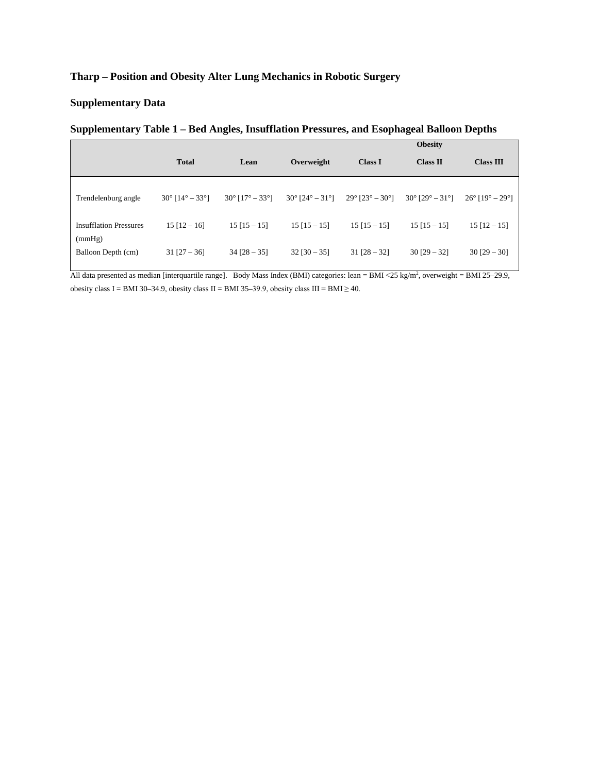### **Tharp – Position and Obesity Alter Lung Mechanics in Robotic Surgery**

### **Supplementary Data**

### **Supplementary Table 1 – Bed Angles, Insufflation Pressures, and Esophageal Balloon Depths**

|                                         |                          |                          |                                               |                                               | <b>Obesity</b>           |                                               |
|-----------------------------------------|--------------------------|--------------------------|-----------------------------------------------|-----------------------------------------------|--------------------------|-----------------------------------------------|
|                                         | <b>Total</b>             | Lean                     | Overweight                                    | <b>Class I</b>                                | Class II                 | <b>Class III</b>                              |
| Trendelenburg angle                     | $30^{\circ}$ [14° – 33°] | $30^{\circ}$ [17° – 33°] | $30^{\circ}$ [24 $^{\circ}$ – 31 $^{\circ}$ ] | $29^{\circ}$ [23 $^{\circ}$ – 30 $^{\circ}$ ] | $30^{\circ}$ [29° – 31°] | $26^{\circ}$ [19 $^{\circ}$ – 29 $^{\circ}$ ] |
| <b>Insufflation Pressures</b><br>(mmHg) | $15$ [12 – 16]           | $15$ [15 - 15]           | $15$ [15 - 15]                                | $15$ [15 - 15]                                | $15$ [15 - 15]           | $15$ [12 - 15]                                |
| Balloon Depth (cm)                      | $31$ [27 – 36]           | $34$ [28 – 35]           | $32$ [30 – 35]                                | $31$ [28 – 32]                                | $30$ [29 – 32]           | $30$ [29 – 30]                                |

All data presented as median [interquartile range]. Body Mass Index (BMI) categories: lean = BMI <25 kg/m<sup>2</sup>, overweight = BMI 25–29.9, obesity class I = BMI 30–34.9, obesity class II = BMI 35–39.9, obesity class III = BMI  $\geq$  40.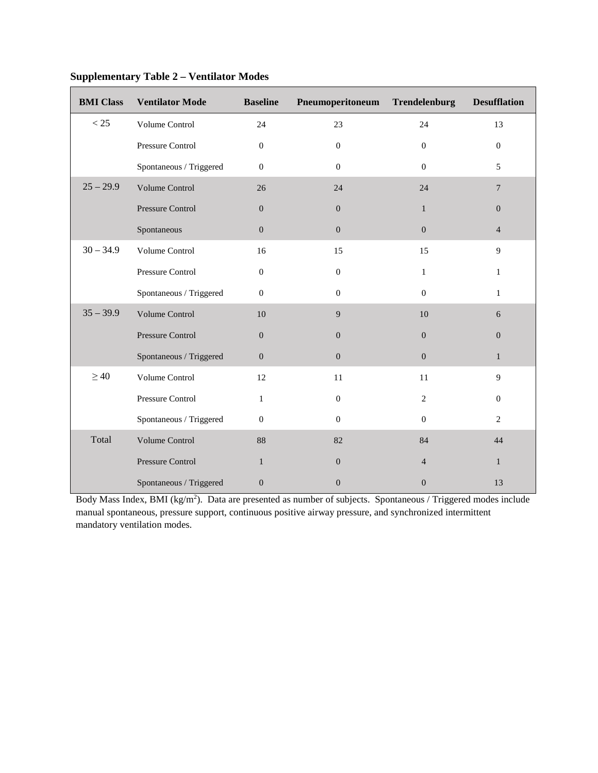| <b>BMI</b> Class | <b>Ventilator Mode</b>  | <b>Baseline</b>  | Pneumoperitoneum | Trendelenburg    | <b>Desufflation</b> |
|------------------|-------------------------|------------------|------------------|------------------|---------------------|
| < 25             | Volume Control          | 24               | 23               | 24               | 13                  |
|                  | Pressure Control        | $\overline{0}$   | $\mathbf{0}$     | $\overline{0}$   | $\overline{0}$      |
|                  | Spontaneous / Triggered | $\mathbf{0}$     | $\Omega$         | $\Omega$         | 5                   |
| $25 - 29.9$      | Volume Control          | 26               | 24               | 24               | $7\phantom{.0}$     |
|                  | Pressure Control        | $\boldsymbol{0}$ | $\overline{0}$   | $\mathbf{1}$     | $\overline{0}$      |
|                  | Spontaneous             | $\mathbf{0}$     | $\overline{0}$   | $\mathbf{0}$     | $\overline{4}$      |
| $30 - 34.9$      | Volume Control          | 16               | 15               | 15               | 9                   |
|                  | Pressure Control        | $\mathbf{0}$     | $\overline{0}$   | $\mathbf{1}$     | $\mathbf{1}$        |
|                  | Spontaneous / Triggered | $\boldsymbol{0}$ | $\overline{0}$   | $\mathbf{0}$     | $\mathbf{1}$        |
| $35 - 39.9$      | Volume Control          | 10               | 9                | 10               | 6                   |
|                  | Pressure Control        | $\boldsymbol{0}$ | $\boldsymbol{0}$ | $\boldsymbol{0}$ | $\boldsymbol{0}$    |
|                  | Spontaneous / Triggered | $\boldsymbol{0}$ | $\boldsymbol{0}$ | $\boldsymbol{0}$ | $\mathbf{1}$        |
| $\geq 40$        | Volume Control          | 12               | 11               | 11               | 9                   |
|                  | Pressure Control        | 1                | $\mathbf{0}$     | 2                | $\mathbf{0}$        |
|                  | Spontaneous / Triggered | $\boldsymbol{0}$ | $\boldsymbol{0}$ | $\mathbf{0}$     | 2                   |
| Total            | Volume Control          | 88               | 82               | 84               | 44                  |
|                  | Pressure Control        | 1                | $\mathbf{0}$     | $\overline{4}$   | $\mathbf{1}$        |
|                  | Spontaneous / Triggered | $\boldsymbol{0}$ | $\Omega$         | $\overline{0}$   | 13                  |

# **Supplementary Table 2 – Ventilator Modes**

Body Mass Index, BMI (kg/m<sup>2</sup>). Data are presented as number of subjects. Spontaneous / Triggered modes include manual spontaneous, pressure support, continuous positive airway pressure, and synchronized intermittent mandatory ventilation modes.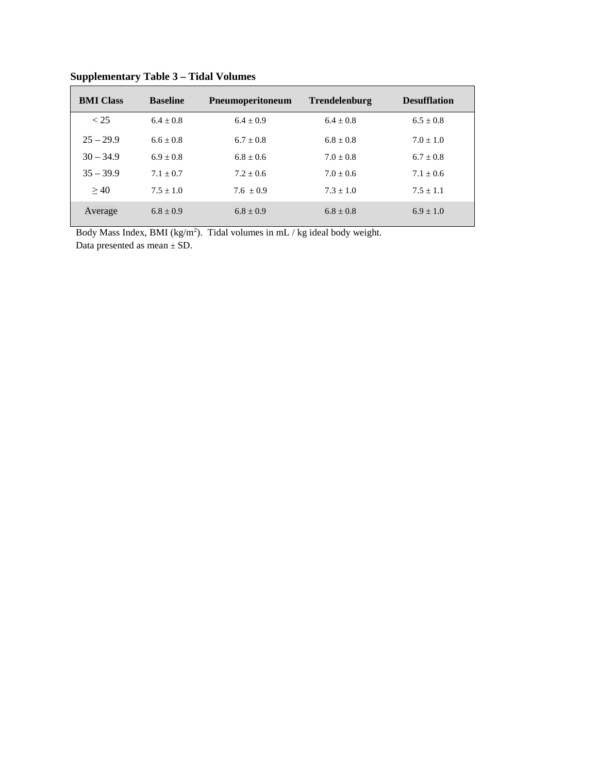| <b>BMI</b> Class | <b>Baseline</b> | Pneumoperitoneum | <b>Trendelenburg</b> | <b>Desufflation</b> |
|------------------|-----------------|------------------|----------------------|---------------------|
| < 25             | $6.4 + 0.8$     | $6.4 + 0.9$      | $6.4 + 0.8$          | $6.5 \pm 0.8$       |
| $25 - 29.9$      | $6.6 + 0.8$     | $6.7 + 0.8$      | $6.8 + 0.8$          | $7.0 + 1.0$         |
| $30 - 34.9$      | $6.9 + 0.8$     | $6.8 + 0.6$      | $7.0 + 0.8$          | $6.7 + 0.8$         |
| $35 - 39.9$      | $7.1 + 0.7$     | $7.2 + 0.6$      | $7.0 + 0.6$          | $7.1 + 0.6$         |
| >40              | $7.5 + 1.0$     | $7.6 + 0.9$      | $7.3 + 1.0$          | $7.5 + 1.1$         |
| Average          | $6.8 + 0.9$     | $6.8 + 0.9$      | $6.8 \pm 0.8$        | $6.9 + 1.0$         |

**Supplementary Table 3 – Tidal Volumes** 

Body Mass Index, BMI ( $kg/m<sup>2</sup>$ ). Tidal volumes in mL / kg ideal body weight. Data presented as mean  $\pm$  SD.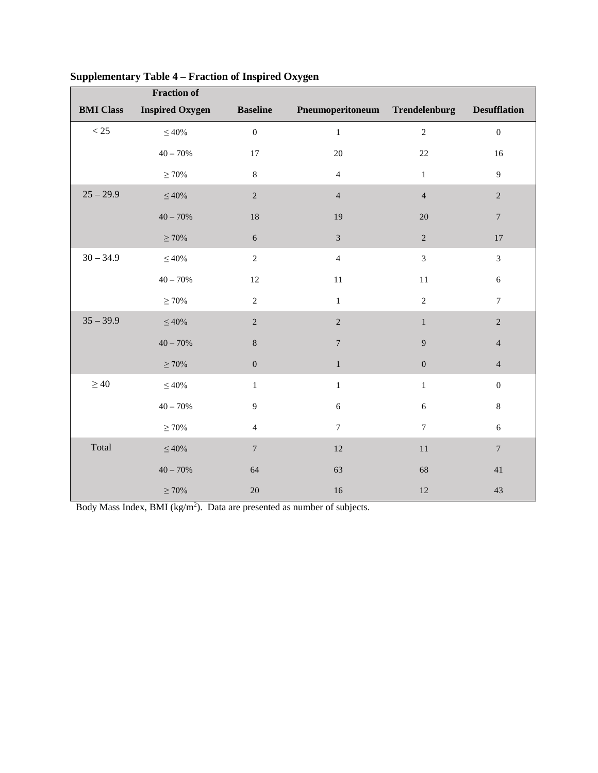|                  | <b>Fraction of</b>     |                  |                                |                 |                     |
|------------------|------------------------|------------------|--------------------------------|-----------------|---------------------|
| <b>BMI</b> Class | <b>Inspired Oxygen</b> | <b>Baseline</b>  | Pneumoperitoneum Trendelenburg |                 | <b>Desufflation</b> |
| $<25\,$          | $\leq 40\%$            | $\boldsymbol{0}$ | $\,1\,$                        | $\sqrt{2}$      | $\boldsymbol{0}$    |
|                  | $40 - 70%$             | 17               | 20                             | $22\,$          | 16                  |
|                  | $\geq 70\%$            | $\,8\,$          | $\overline{4}$                 | $\mathbf{1}$    | 9                   |
| $25 - 29.9$      | $\leq 40\%$            | $\sqrt{2}$       | $\overline{4}$                 | $\overline{4}$  | $\sqrt{2}$          |
|                  | $40 - 70%$             | 18               | 19                             | $20\,$          | $\boldsymbol{7}$    |
|                  | $\geq 70\%$            | $\sqrt{6}$       | $\overline{3}$                 | $\overline{2}$  | $17\,$              |
| $30 - 34.9$      | $\leq 40\%$            | $\overline{2}$   | $\overline{4}$                 | $\overline{3}$  | $\overline{3}$      |
|                  | $40 - 70%$             | 12               | $11\,$                         | $11\,$          | $\sqrt{6}$          |
|                  | $\geq 70\%$            | $\mathfrak{2}$   | $\mathbf{1}$                   | $\overline{2}$  | $\tau$              |
| $35 - 39.9$      | $\leq 40\%$            | $\sqrt{2}$       | $\overline{2}$                 | $\mathbf{1}$    | $\sqrt{2}$          |
|                  | $40 - 70%$             | $\,8\,$          | $\boldsymbol{7}$               | 9               | $\overline{4}$      |
|                  | $\geq 70\%$            | $\overline{0}$   | $\mathbf{1}$                   | $\mathbf{0}$    | $\overline{4}$      |
| $\geq 40$        | $\leq$ 40%             | $\mathbf{1}$     | $\,1\,$                        | $\mathbf 1$     | $\boldsymbol{0}$    |
|                  | $40 - 70%$             | $\overline{9}$   | $\sqrt{6}$                     | $\sqrt{6}$      | 8                   |
|                  | $\geq 70\%$            | $\overline{4}$   | $7\phantom{.0}$                | $7\phantom{.0}$ | $\boldsymbol{6}$    |
| Total            | $\leq 40\%$            | $\boldsymbol{7}$ | 12                             | $11\,$          | $7\phantom{.0}$     |
|                  | $40 - 70%$             | 64               | 63                             | 68              | 41                  |
|                  | $\geq 70\%$            | $20\,$           | 16                             | 12              | 43                  |

## **Supplementary Table 4 – Fraction of Inspired Oxygen**

Body Mass Index, BMI (kg/m<sup>2</sup>). Data are presented as number of subjects.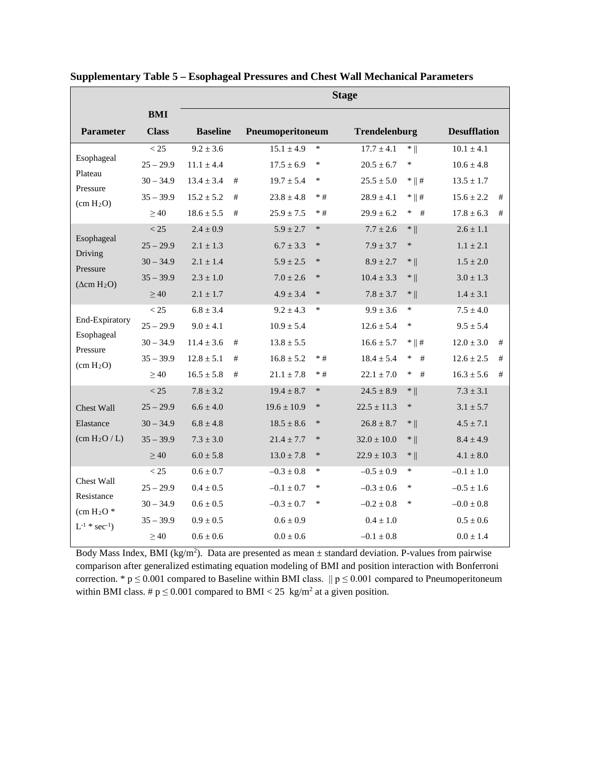|                                              |              | <b>Stage</b>    |   |                  |        |                 |                   |                     |      |
|----------------------------------------------|--------------|-----------------|---|------------------|--------|-----------------|-------------------|---------------------|------|
|                                              | <b>BMI</b>   |                 |   |                  |        |                 |                   |                     |      |
| <b>Parameter</b>                             | <b>Class</b> | <b>Baseline</b> |   | Pneumoperitoneum |        | Trendelenburg   |                   | <b>Desufflation</b> |      |
|                                              | < 25         | $9.2 \pm 3.6$   |   | $15.1 \pm 4.9$   | $\ast$ | $17.7 \pm 4.1$  | $*$               | $10.1 \pm 4.1$      |      |
| Esophageal                                   | $25 - 29.9$  | $11.1 \pm 4.4$  |   | $17.5 \pm 6.9$   | $\ast$ | $20.5 \pm 6.7$  | $\ast$            | $10.6 \pm 4.8$      |      |
| Plateau<br>Pressure                          | $30 - 34.9$  | $13.4 \pm 3.4$  | # | $19.7 \pm 5.4$   | $\ast$ | $25.5 \pm 5.0$  | $*$ $\parallel$ # | $13.5 \pm 1.7$      |      |
| (cm H <sub>2</sub> O)                        | $35 - 39.9$  | $15.2 \pm 5.2$  | # | $23.8 \pm 4.8$   | $*#$   | $28.9 \pm 4.1$  | $*$    #          | $15.6 \pm 2.2$      | #    |
|                                              | $\geq 40$    | $18.6 \pm 5.5$  | # | $25.9 \pm 7.5$   | $*#$   | $29.9 \pm 6.2$  | $\ast$<br>#       | $17.8 \pm 6.3$      | #    |
|                                              | < 25         | $2.4 \pm 0.9$   |   | $5.9 \pm 2.7$    | $\ast$ | $7.7 \pm 2.6$   | $*$               | $2.6 \pm 1.1$       |      |
| Esophageal<br>Driving                        | $25 - 29.9$  | $2.1 \pm 1.3$   |   | $6.7 \pm 3.3$    | $\ast$ | $7.9 \pm 3.7$   | $\ast$            | $1.1 \pm 2.1$       |      |
| Pressure                                     | $30 - 34.9$  | $2.1 \pm 1.4$   |   | $5.9 \pm 2.5$    | $\ast$ | $8.9 \pm 2.7$   | $*$               | $1.5 \pm 2.0$       |      |
| $(\Delta cm H_2O)$                           | $35 - 39.9$  | $2.3 \pm 1.0$   |   | $7.0 \pm 2.6$    | $\ast$ | $10.4 \pm 3.3$  | $*$               | $3.0 \pm 1.3$       |      |
|                                              | >40          | $2.1 \pm 1.7$   |   | $4.9 \pm 3.4$    | $\ast$ | $7.8 \pm 3.7$   | $*$               | $1.4 \pm 3.1$       |      |
|                                              | < 25         | $6.8 \pm 3.4$   |   | $9.2 \pm 4.3$    | $\ast$ | $9.9 \pm 3.6$   | $\ast$            | $7.5 \pm 4.0$       |      |
| End-Expiratory                               | $25 - 29.9$  | $9.0 + 4.1$     |   | $10.9 + 5.4$     |        | $12.6 \pm 5.4$  | ∗                 | $9.5 + 5.4$         |      |
| Esophageal                                   | $30 - 34.9$  | $11.4 \pm 3.6$  | # | $13.8 \pm 5.5$   |        | $16.6 \pm 5.7$  | $*$    #          | $12.0 \pm 3.0$      | #    |
| Pressure<br>(cm H <sub>2</sub> O)            | $35 - 39.9$  | $12.8 \pm 5.1$  | # | $16.8 \pm 5.2$   | $*#$   | $18.4 \pm 5.4$  | $\ast$<br>#       | $12.6 \pm 2.5$      | $\#$ |
|                                              | $\geq 40$    | $16.5 \pm 5.8$  | # | $21.1 \pm 7.8$   | $*#$   | $22.1 \pm 7.0$  | $\ast$<br>#       | $16.3 \pm 5.6$      | #    |
|                                              | < 25         | $7.8 \pm 3.2$   |   | $19.4 \pm 8.7$   | $\ast$ | $24.5 \pm 8.9$  | $*$               | $7.3 \pm 3.1$       |      |
| <b>Chest Wall</b>                            | $25 - 29.9$  | $6.6 \pm 4.0$   |   | $19.6 \pm 10.9$  | $\ast$ | $22.5 \pm 11.3$ | $\ast$            | $3.1 \pm 5.7$       |      |
| Elastance                                    | $30 - 34.9$  | $6.8 \pm 4.8$   |   | $18.5 \pm 8.6$   | $\ast$ | $26.8 \pm 8.7$  | $*$               | $4.5 \pm 7.1$       |      |
| (cm H <sub>2</sub> O/L)                      | $35 - 39.9$  | $7.3 \pm 3.0$   |   | $21.4 \pm 7.7$   | $\ast$ | $32.0 \pm 10.0$ | $*$               | $8.4 \pm 4.9$       |      |
|                                              | $\geq 40$    | $6.0 \pm 5.8$   |   | $13.0 \pm 7.8$   | $\ast$ | $22.9 \pm 10.3$ | $*$               | $4.1 \pm 8.0$       |      |
|                                              | < 25         | $0.6 \pm 0.7$   |   | $-0.3 \pm 0.8$   | $\ast$ | $-0.5 \pm 0.9$  | ∗                 | $-0.1 \pm 1.0$      |      |
| <b>Chest Wall</b>                            | $25 - 29.9$  | $0.4 \pm 0.5$   |   | $-0.1 \pm 0.7$   | $\ast$ | $-0.3 \pm 0.6$  | *                 | $-0.5 \pm 1.6$      |      |
| Resistance                                   | $30 - 34.9$  | $0.6 \pm 0.5$   |   | $-0.3 \pm 0.7$   | $\ast$ | $-0.2 \pm 0.8$  | *                 | $-0.0 \pm 0.8$      |      |
| $/cm H2O*$<br>$L^{-1}$ * sec <sup>-1</sup> ) | $35 - 39.9$  | $0.9 \pm 0.5$   |   | $0.6 \pm 0.9$    |        | $0.4 \pm 1.0$   |                   | $0.5 \pm 0.6$       |      |
|                                              | $\geq 40$    | $0.6 \pm 0.6$   |   | $0.0 \pm 0.6$    |        | $-0.1 \pm 0.8$  |                   | $0.0 \pm 1.4$       |      |

**Supplementary Table 5 – Esophageal Pressures and Chest Wall Mechanical Parameters**

Body Mass Index, BMI ( $kg/m<sup>2</sup>$ ). Data are presented as mean  $\pm$  standard deviation. P-values from pairwise comparison after generalized estimating equation modeling of BMI and position interaction with Bonferroni correction. \*  $p \le 0.001$  compared to Baseline within BMI class.  $\|p \le 0.001$  compared to Pneumoperitoneum within BMI class. #  $p \le 0.001$  compared to BMI < 25 kg/m<sup>2</sup> at a given position.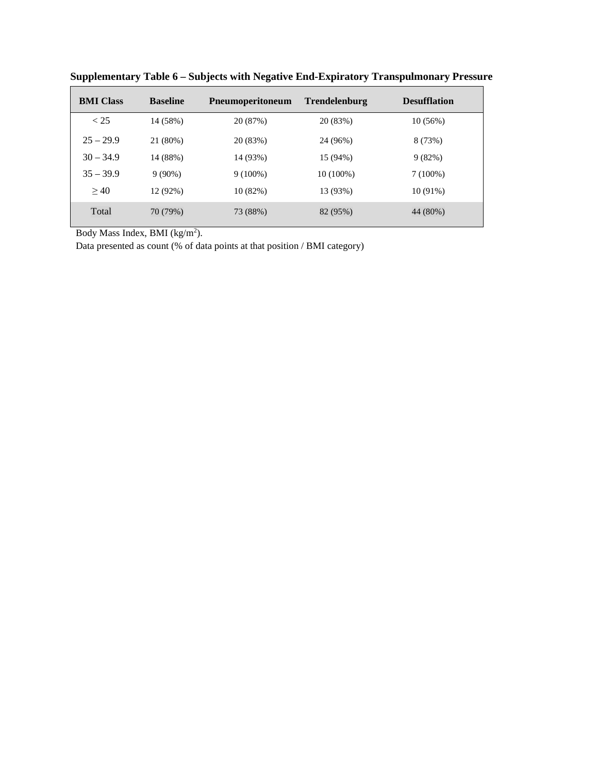| <b>BMI</b> Class | <b>Baseline</b> | <b>P</b> neumoperitoneum | <b>Trendelenburg</b> | <b>Desufflation</b> |
|------------------|-----------------|--------------------------|----------------------|---------------------|
| < 25             | 14 (58%)        | 20 (87%)                 | 20 (83%)             | 10(56%)             |
| $25 - 29.9$      | 21 (80%)        | 20 (83%)                 | 24 (96%)             | 8 (73%)             |
| $30 - 34.9$      | 14 (88%)        | 14 (93%)                 | 15 (94%)             | 9(82%)              |
| $35 - 39.9$      | $9(90\%)$       | $9(100\%)$               | $10(100\%)$          | $7(100\%)$          |
| >40              | 12 (92%)        | 10(82%)                  | 13 (93%)             | $10(91\%)$          |
| Total            | 70 (79%)        | 73 (88%)                 | 82 (95%)             | 44 (80%)            |

**Supplementary Table 6 – Subjects with Negative End-Expiratory Transpulmonary Pressure** 

Body Mass Index, BMI  $(kg/m<sup>2</sup>)$ .

Data presented as count (% of data points at that position / BMI category)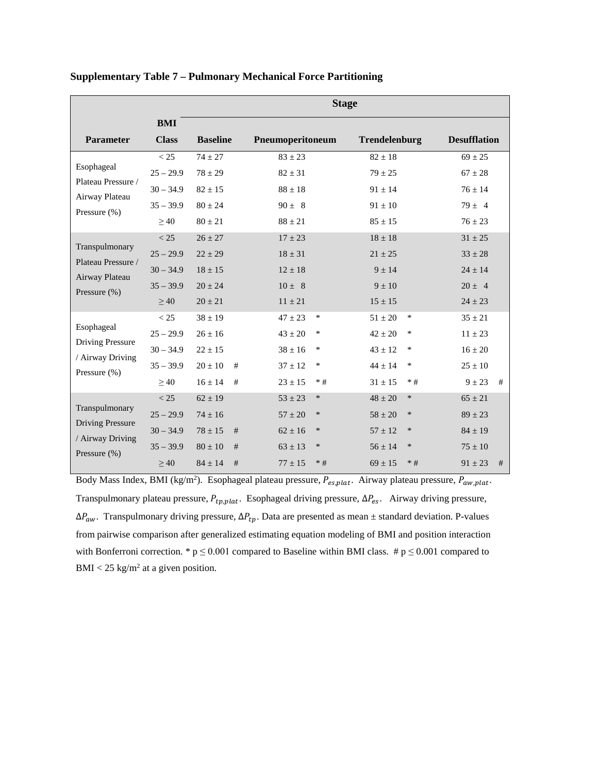|                                                                                   | <b>Stage</b>                                                   |                                                                         |             |                                                                       |                                              |                                                                         |                                         |                                                                        |   |
|-----------------------------------------------------------------------------------|----------------------------------------------------------------|-------------------------------------------------------------------------|-------------|-----------------------------------------------------------------------|----------------------------------------------|-------------------------------------------------------------------------|-----------------------------------------|------------------------------------------------------------------------|---|
| <b>Parameter</b>                                                                  | <b>BMI</b><br><b>Class</b>                                     | <b>Baseline</b>                                                         |             | Pneumoperitoneum                                                      |                                              | <b>Trendelenburg</b>                                                    |                                         | <b>Desufflation</b>                                                    |   |
| Esophageal<br>Plateau Pressure /<br>Airway Plateau<br>Pressure $(\% )$            | < 25<br>$25 - 29.9$<br>$30 - 34.9$<br>$35 - 39.9$<br>$\geq 40$ | $74 + 27$<br>$78 \pm 29$<br>$82 \pm 15$<br>$80 \pm 24$<br>$80 \pm 21$   |             | $83 + 23$<br>$82 \pm 31$<br>$88 \pm 18$<br>$90 \pm 8$<br>$88 \pm 21$  |                                              | $82 + 18$<br>$79 \pm 25$<br>$91 \pm 14$<br>$91 \pm 10$<br>$85 \pm 15$   |                                         | $69 + 25$<br>$67 \pm 28$<br>$76 \pm 14$<br>$79 \pm 4$<br>$76 \pm 23$   |   |
| Transpulmonary<br>Plateau Pressure /<br>Airway Plateau<br>Pressure $(\% )$        | < 25<br>$25 - 29.9$<br>$30 - 34.9$<br>$35 - 39.9$<br>$\geq 40$ | $26 + 27$<br>$22 \pm 29$<br>$18 + 15$<br>$20 \pm 24$<br>$20 \pm 21$     |             | $17 \pm 23$<br>$18 \pm 31$<br>$12 + 18$<br>$10 \pm 8$<br>$11 \pm 21$  |                                              | $18 + 18$<br>$21 \pm 25$<br>$9 + 14$<br>$9 \pm 10$<br>$15 \pm 15$       |                                         | $31 \pm 25$<br>$33 \pm 28$<br>$24 + 14$<br>$20 \pm 4$<br>$24 \pm 23$   |   |
| Esophageal<br><b>Driving Pressure</b><br>/ Airway Driving<br>Pressure $(\% )$     | < 25<br>$25 - 29.9$<br>$30 - 34.9$<br>$35 - 39.9$<br>>40       | $38 \pm 19$<br>$26 \pm 16$<br>$22 \pm 15$<br>$20 \pm 10$<br>$16 \pm 14$ | #<br>#      | $47 \pm 23$<br>$43\pm20$<br>$38 \pm 16$<br>$37 \pm 12$<br>$23 \pm 15$ | $\ast$<br>$\ast$<br>$\ast$<br>$\ast$<br>$*#$ | $51 \pm 20$<br>$42 \pm 20$<br>$43 \pm 12$<br>$44 \pm 14$<br>$31 \pm 15$ | $\ast$<br>*<br>$\ast$<br>$\ast$<br>$*#$ | $35 \pm 21$<br>$11 \pm 23$<br>$16 \pm 20$<br>$25 \pm 10$<br>$9 \pm 23$ | # |
| Transpulmonary<br><b>Driving Pressure</b><br>/ Airway Driving<br>Pressure $(\% )$ | < 25<br>$25 - 29.9$<br>$30 - 34.9$<br>$35 - 39.9$<br>>40       | $62 \pm 19$<br>$74 \pm 16$<br>$78 \pm 15$<br>$80 \pm 10$<br>$84 + 14$   | #<br>#<br># | $53 \pm 23$<br>$57 \pm 20$<br>$62 \pm 16$<br>$63 \pm 13$<br>$77 + 15$ | $\ast$<br>$\ast$<br>$\ast$<br>$\ast$<br>$*#$ | $48 \pm 20$<br>$58 \pm 20$<br>$57 \pm 12$<br>$56 + 14$<br>$69 + 15$     | $\ast$<br>∗<br>$\ast$<br>∗<br>$*$ #     | $65 \pm 21$<br>$89 \pm 23$<br>$84 \pm 19$<br>$75 \pm 10$<br>$91 + 23$  | # |

#### **Supplementary Table 7 – Pulmonary Mechanical Force Partitioning**

Body Mass Index, BMI (kg/m<sup>2</sup>). Esophageal plateau pressure,  $P_{es,plat}$ . Airway plateau pressure,  $P_{aw,plat}$ . Transpulmonary plateau pressure,  $P_{tp,plat}$ . Esophageal driving pressure,  $\Delta P_{es}$ . Airway driving pressure,  $\Delta P_{aw}$ . Transpulmonary driving pressure,  $\Delta P_{tp}$ . Data are presented as mean  $\pm$  standard deviation. P-values from pairwise comparison after generalized estimating equation modeling of BMI and position interaction with Bonferroni correction. \*  $p \le 0.001$  compared to Baseline within BMI class. #  $p \le 0.001$  compared to  $BMI < 25$  kg/m<sup>2</sup> at a given position.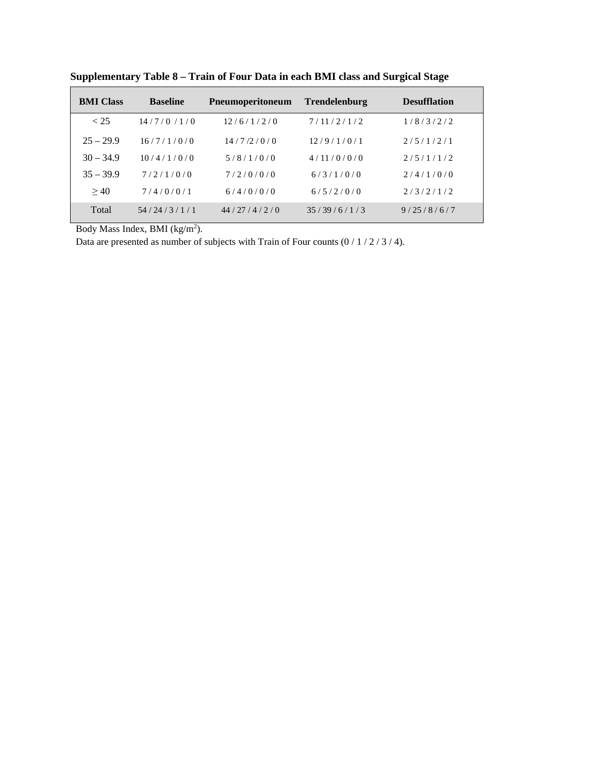| <b>BMI Class</b> | <b>Baseline</b> | <b>Pneumoperitoneum</b> | <b>Trendelenburg</b> | <b>Desufflation</b> |
|------------------|-----------------|-------------------------|----------------------|---------------------|
| < 25             | 14/7/0/1/0      | 12/6/1/2/0              | 7/11/2/1/2           | 1/8/3/2/2           |
| $25 - 29.9$      | 16/7/1/0/0      | 14/7/2/0/0              | 12/9/1/0/1           | 2/5/1/2/1           |
| $30 - 34.9$      | 10/4/1/0/0      | 5/8/1/0/0               | 4/11/0/0/0           | 2/5/1/1/2           |
| $35 - 39.9$      | 7/2/1/0/0       | 7/2/0/0/0               | 6/3/1/0/0            | 2/4/1/0/0           |
| >40              | 7/4/0/0/1       | 6/4/0/0/0               | 6/5/2/0/0            | 2/3/2/1/2           |
| Total            | 54/24/3/1/1     | 44/27/4/2/0             | 35/39/6/1/3          | 9/25/8/6/7          |

**Supplementary Table 8 – Train of Four Data in each BMI class and Surgical Stage**

Body Mass Index, BMI  $(kg/m<sup>2</sup>)$ .

Data are presented as number of subjects with Train of Four counts  $(0/1/2/3/4)$ .